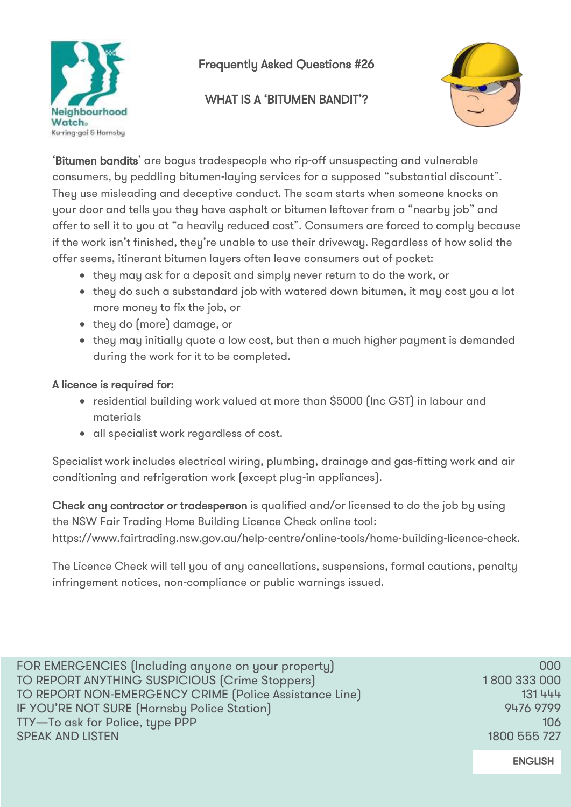

# Frequently Asked Questions #26

## WHAT IS A 'BITUMEN BANDIT'?



'Bitumen bandits' are bogus tradespeople who rip-off unsuspecting and vulnerable consumers, by peddling bitumen-laying services for a supposed "substantial discount". They use misleading and deceptive conduct. The scam starts when someone knocks on your door and tells you they have asphalt or bitumen leftover from a "nearby job" and offer to sell it to you at "a heavily reduced cost". Consumers are forced to comply because if the work isn't finished, they're unable to use their driveway. Regardless of how solid the offer seems, itinerant bitumen layers often leave consumers out of pocket:

- they may ask for a deposit and simply never return to do the work, or
- they do such a substandard job with watered down bitumen, it may cost you a lot more money to fix the job, or
- they do (more) damage, or
- they may initially quote a low cost, but then a much higher payment is demanded during the work for it to be completed.

### A licence is required for:

- residential building work valued at more than \$5000 (Inc GST) in labour and materials
- all specialist work regardless of cost.

Specialist work includes electrical wiring, plumbing, drainage and gas-fitting work and air conditioning and refrigeration work (except plug-in appliances).

Check any contractor or tradesperson is qualified and/or licensed to do the job by using the NSW Fair Trading Home Building Licence Check online tool: [https://www.fairtrading.nsw.gov.au/help-centre/online-tools/home-building-licence-check.](https://www.fairtrading.nsw.gov.au/help-centre/online-tools/home-building-licence-check)

The Licence Check will tell you of any cancellations, suspensions, formal cautions, penalty infringement notices, non-compliance or public warnings issued.

| FOR EMERGENCIES (Including anyone on your property)    | 000          |
|--------------------------------------------------------|--------------|
| TO REPORT ANYTHING SUSPICIOUS (Crime Stoppers)         | 1800 333 000 |
| TO REPORT NON-EMERGENCY CRIME (Police Assistance Line) | 131 444      |
| IF YOU'RE NOT SURE (Hornsby Police Station)            | 9476 9799    |
| TTY-To ask for Police, type PPP                        | <b>106</b>   |
| <b>SPEAK AND LISTEN</b>                                | 1800 555 727 |
|                                                        |              |

ENGLISH